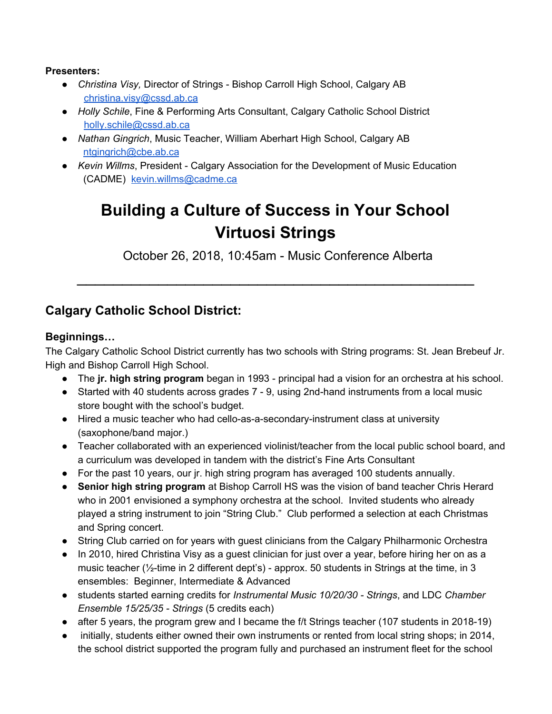#### **Presenters:**

- *Christina Visy,* Director of Strings Bishop Carroll High School, Calgary AB [christina.visy@cssd.ab.ca](mailto:christina.visy@cssd.ab.ca)
- *Holly Schile*, Fine & Performing Arts Consultant, Calgary Catholic School District [holly.schile@cssd.ab.ca](mailto:holly.schile@cssd.ab.ca)
- *● Nathan Gingrich*, Music Teacher, William Aberhart High School, Calgary AB [ntgingrich@cbe.ab.ca](mailto:ntgingrich@cbe.ab.ca)
- *Kevin Willms*, President Calgary Association for the Development of Music Education (CADME) [kevin.willms@cadme.ca](mailto:kevin.willms@cadme.ca)

# **Building a Culture of Success in Your School Virtuosi Strings**

October 26, 2018, 10:45am - Music Conference Alberta

 $\mathcal{L}_\text{max}$  , and the contract of the contract of the contract of the contract of the contract of the contract of the contract of the contract of the contract of the contract of the contract of the contract of the contr

# **Calgary Catholic School District:**

# **Beginnings…**

The Calgary Catholic School District currently has two schools with String programs: St. Jean Brebeuf Jr. High and Bishop Carroll High School.

- The **jr. high string program** began in 1993 principal had a vision for an orchestra at his school.
- Started with 40 students across grades 7 9, using 2nd-hand instruments from a local music store bought with the school's budget.
- Hired a music teacher who had cello-as-a-secondary-instrument class at university (saxophone/band major.)
- Teacher collaborated with an experienced violinist/teacher from the local public school board, and a curriculum was developed in tandem with the district's Fine Arts Consultant
- For the past 10 years, our jr. high string program has averaged 100 students annually.
- **Senior high string program** at Bishop Carroll HS was the vision of band teacher Chris Herard who in 2001 envisioned a symphony orchestra at the school. Invited students who already played a string instrument to join "String Club." Club performed a selection at each Christmas and Spring concert.
- String Club carried on for years with guest clinicians from the Calgary Philharmonic Orchestra
- In 2010, hired Christina Visy as a guest clinician for just over a year, before hiring her on as a music teacher (½-time in 2 different dept's) - approx. 50 students in Strings at the time, in 3 ensembles: Beginner, Intermediate & Advanced
- students started earning credits for *Instrumental Music 10/20/30 - Strings*, and LDC *Chamber Ensemble 15/25/35 - Strings* (5 credits each)
- after 5 years, the program grew and I became the f/t Strings teacher (107 students in 2018-19)
- initially, students either owned their own instruments or rented from local string shops; in 2014, the school district supported the program fully and purchased an instrument fleet for the school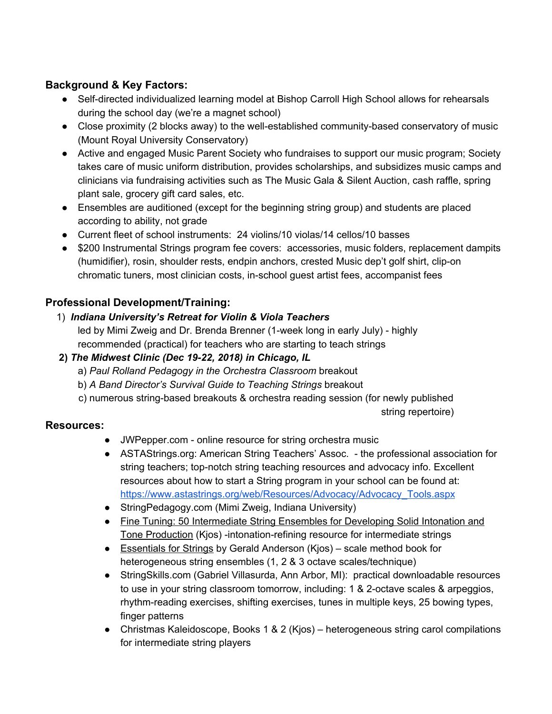# **Background & Key Factors:**

- Self-directed individualized learning model at Bishop Carroll High School allows for rehearsals during the school day (we're a magnet school)
- Close proximity (2 blocks away) to the well-established community-based conservatory of music (Mount Royal University Conservatory)
- Active and engaged Music Parent Society who fundraises to support our music program; Society takes care of music uniform distribution, provides scholarships, and subsidizes music camps and clinicians via fundraising activities such as The Music Gala & Silent Auction, cash raffle, spring plant sale, grocery gift card sales, etc.
- Ensembles are auditioned (except for the beginning string group) and students are placed according to ability, not grade
- Current fleet of school instruments: 24 violins/10 violas/14 cellos/10 basses
- \$200 Instrumental Strings program fee covers: accessories, music folders, replacement dampits (humidifier), rosin, shoulder rests, endpin anchors, crested Music dep't golf shirt, clip-on chromatic tuners, most clinician costs, in-school guest artist fees, accompanist fees

## **Professional Development/Training:**

#### 1) *Indiana University's Retreat for Violin & Viola Teachers*

led by Mimi Zweig and Dr. Brenda Brenner (1-week long in early July) - highly recommended (practical) for teachers who are starting to teach strings

## **2)** *The Midwest Clinic (Dec 19-22, 2018) in Chicago, IL*

- a) *Paul Rolland Pedagogy in the Orchestra Classroom* breakout
- b) *A Band Director's Survival Guide to Teaching Strings* breakout
- c) numerous string-based breakouts & orchestra reading session (for newly published

string repertoire)

# **Resources:**

- JWPepper.com online resource for string orchestra music
- ASTAStrings.org: American String Teachers' Assoc. the professional association for string teachers; top-notch string teaching resources and advocacy info. Excellent resources about how to start a String program in your school can be found at: [https://www.astastrings.org/web/Resources/Advocacy/Advocacy\\_Tools.aspx](https://www.astastrings.org/web/Resources/Advocacy/Advocacy_Tools.aspx)
- StringPedagogy.com (Mimi Zweig, Indiana University)
- Fine Tuning: 50 Intermediate String Ensembles for Developing Solid Intonation and Tone Production (Kjos) -intonation-refining resource for intermediate strings
- Essentials for Strings by Gerald Anderson (Kios) scale method book for heterogeneous string ensembles (1, 2 & 3 octave scales/technique)
- StringSkills.com (Gabriel Villasurda, Ann Arbor, MI): practical downloadable resources to use in your string classroom tomorrow, including: 1 & 2-octave scales & arpeggios, rhythm-reading exercises, shifting exercises, tunes in multiple keys, 25 bowing types, finger patterns
- Christmas Kaleidoscope, Books 1 & 2 (Kjos) heterogeneous string carol compilations for intermediate string players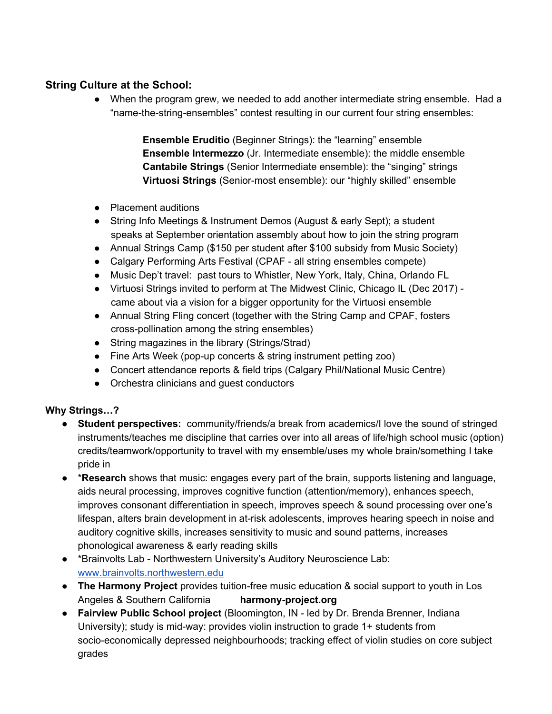## **String Culture at the School:**

● When the program grew, we needed to add another intermediate string ensemble. Had a "name-the-string-ensembles" contest resulting in our current four string ensembles:

> **Ensemble Eruditio** (Beginner Strings): the "learning" ensemble **Ensemble Intermezzo** (Jr. Intermediate ensemble): the middle ensemble **Cantabile Strings** (Senior Intermediate ensemble): the "singing" strings **Virtuosi Strings** (Senior-most ensemble): our "highly skilled" ensemble

- Placement auditions
- String Info Meetings & Instrument Demos (August & early Sept); a student speaks at September orientation assembly about how to join the string program
- Annual Strings Camp (\$150 per student after \$100 subsidy from Music Society)
- Calgary Performing Arts Festival (CPAF all string ensembles compete)
- Music Dep't travel: past tours to Whistler, New York, Italy, China, Orlando FL
- Virtuosi Strings invited to perform at The Midwest Clinic, Chicago IL (Dec 2017) came about via a vision for a bigger opportunity for the Virtuosi ensemble
- Annual String Fling concert (together with the String Camp and CPAF, fosters cross-pollination among the string ensembles)
- String magazines in the library (Strings/Strad)
- Fine Arts Week (pop-up concerts & string instrument petting zoo)
- Concert attendance reports & field trips (Calgary Phil/National Music Centre)
- Orchestra clinicians and guest conductors

#### **Why Strings…?**

- **Student perspectives:** community/friends/a break from academics/I love the sound of stringed instruments/teaches me discipline that carries over into all areas of life/high school music (option) credits/teamwork/opportunity to travel with my ensemble/uses my whole brain/something I take pride in
- \***Research** shows that music: engages every part of the brain, supports listening and language, aids neural processing, improves cognitive function (attention/memory), enhances speech, improves consonant differentiation in speech, improves speech & sound processing over one's lifespan, alters brain development in at-risk adolescents, improves hearing speech in noise and auditory cognitive skills, increases sensitivity to music and sound patterns, increases phonological awareness & early reading skills
- \*Brainvolts Lab Northwestern University's Auditory Neuroscience Lab: [www.brainvolts.northwestern.edu](http://www.brainvolts.northwestern.edu/)
- **The Harmony Project** provides tuition-free music education & social support to youth in Los Angeles & Southern California **harmony-project.org**
- **● Fairview Public School project** (Bloomington, IN led by Dr. Brenda Brenner, Indiana University); study is mid-way: provides violin instruction to grade 1+ students from socio-economically depressed neighbourhoods; tracking effect of violin studies on core subject grades